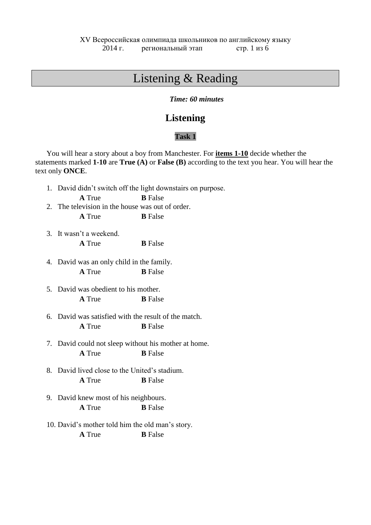# XV Всероссийская олимпиада школьников по английскому языку 2014 г. региональный этап стр. 1 из 6

# Listening & Reading

# *Time: 60 minutes*

# **Listening**

### **Task 1**

You will hear a story about a boy from Manchester. For **items 1-10** decide whether the statements marked **1-10** are **True (A)** or **False (B)** according to the text you hear. You will hear the text only **ONCE**.

1. David didn't switch off the light downstairs on purpose.

**A** True **B** False 2. The television in the house was out of order.

**A** True **B** False

- 3. It wasn't a weekend. **A** True **B** False
- 4. David was an only child in the family. **A** True **B** False
- 5. David was obedient to his mother. **A** True **B** False
- 6. David was satisfied with the result of the match. **A** True **B** False
- 7. David could not sleep without his mother at home. **A** True **B** False
- 8. David lived close to the United's stadium. **A** True **B** False
- 9. David knew most of his neighbours. **A** True **B** False
- 10. David's mother told him the old man's story. **A** True **B** False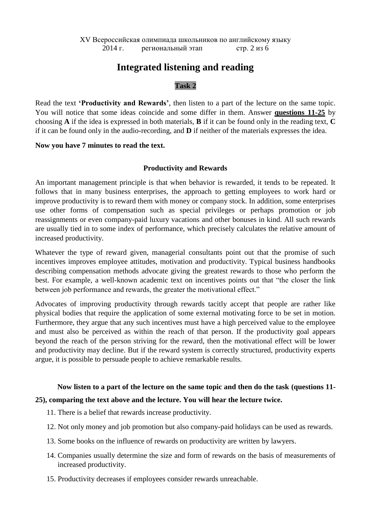# **Integrated listening and reading**

# **Task 2**

Read the text **'Productivity and Rewards'**, then listen to a part of the lecture on the same topic. You will notice that some ideas coincide and some differ in them. Answer **questions 11-25** by choosing **A** if the idea is expressed in both materials, **B** if it can be found only in the reading text, **C**  if it can be found only in the audio-recording, and **D** if neither of the materials expresses the idea.

# **Now you have 7 minutes to read the text.**

# **Productivity and Rewards**

An important management principle is that when behavior is rewarded, it tends to be repeated. It follows that in many business enterprises, the approach to getting employees to work hard or improve productivity is to reward them with money or company stock. In addition, some enterprises use other forms of compensation such as special privileges or perhaps promotion or job reassignments or even company-paid luxury vacations and other bonuses in kind. All such rewards are usually tied in to some index of performance, which precisely calculates the relative amount of increased productivity.

Whatever the type of reward given, managerial consultants point out that the promise of such incentives improves employee attitudes, motivation and productivity. Typical business handbooks describing compensation methods advocate giving the greatest rewards to those who perform the best. For example, a well-known academic text on incentives points out that "the closer the link between job performance and rewards, the greater the motivational effect."

Advocates of improving productivity through rewards tacitly accept that people are rather like physical bodies that require the application of some external motivating force to be set in motion. Furthermore, they argue that any such incentives must have a high perceived value to the employee and must also be perceived as within the reach of that person. If the productivity goal appears beyond the reach of the person striving for the reward, then the motivational effect will be lower and productivity may decline. But if the reward system is correctly structured, productivity experts argue, it is possible to persuade people to achieve remarkable results.

# **Now listen to a part of the lecture on the same topic and then do the task (questions 11- 25), comparing the text above and the lecture. You will hear the lecture twice.**

- 11. There is a belief that rewards increase productivity.
- 12. Not only money and job promotion but also company-paid holidays can be used as rewards.
- 13. Some books on the influence of rewards on productivity are written by lawyers.
- 14. Companies usually determine the size and form of rewards on the basis of measurements of increased productivity.
- 15. Productivity decreases if employees consider rewards unreachable.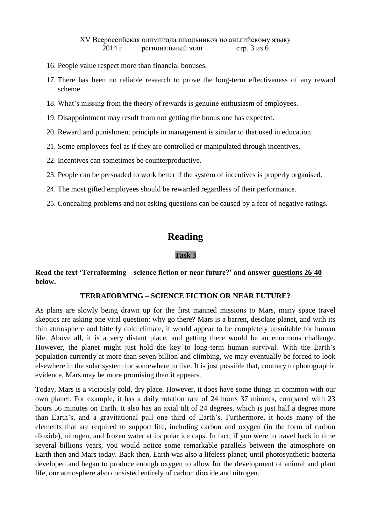### XV Всероссийская олимпиада школьников по английскому языку 2014 г. региональный этап стр. 3 из 6

- 16. People value respect more than financial bonuses.
- 17. There has been no reliable research to prove the long-term effectiveness of any reward scheme.
- 18. What's missing from the theory of rewards is genuine enthusiasm of employees.
- 19. Disappointment may result from not getting the bonus one has expected.
- 20. Reward and punishment principle in management is similar to that used in education.
- 21. Some employees feel as if they are controlled or manipulated through incentives.
- 22. Incentives can sometimes be counterproductive.
- 23. People can be persuaded to work better if the system of incentives is properly organised.
- 24. The most gifted employees should be rewarded regardless of their performance.
- 25. Concealing problems and not asking questions can be caused by a fear of negative ratings.

# **Reading**

# **Task 3**

# **Read the text 'Terraforming – science fiction or near future?' and answer questions 26-40 below.**

### **TERRAFORMING – SCIENCE FICTION OR NEAR FUTURE?**

As plans are slowly being drawn up for the first manned missions to Mars, many space travel skeptics are asking one vital question: why go there? Mars is a barren, desolate planet, and with its thin atmosphere and bitterly cold climate, it would appear to be completely unsuitable for human life. Above all, it is a very distant place, and getting there would be an enormous challenge. However, the planet might just hold the key to long-term human survival. With the Earth's population currently at more than seven billion and climbing, we may eventually be forced to look elsewhere in the solar system for somewhere to live. It is just possible that, contrary to photographic evidence, Mars may be more promising than it appears.

Today, Mars is a viciously cold, dry place. However, it does have some things in common with our own planet. For example, it has a daily rotation rate of 24 hours 37 minutes, compared with 23 hours 56 minutes on Earth. It also has an axial tilt of 24 degrees, which is just half a degree more than Earth's, and a gravitational pull one third of Earth's. Furthermore, it holds many of the elements that are required to support life, including carbon and oxygen (in the form of carbon dioxide), nitrogen, and frozen water at its polar ice caps. In fact, if you were to travel back in time several billions years, you would notice some remarkable parallels between the atmosphere on Earth then and Mars today. Back then, Earth was also a lifeless planet; until photosynthetic bacteria developed and began to produce enough oxygen to allow for the development of animal and plant life, our atmosphere also consisted entirely of carbon dioxide and nitrogen.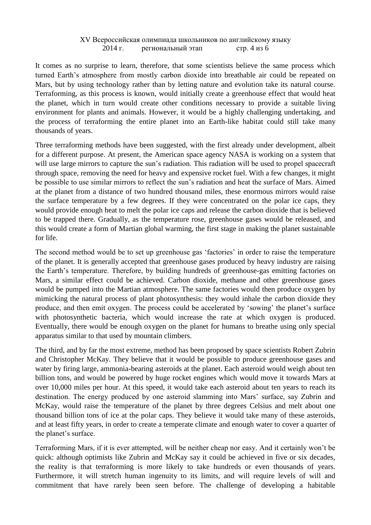# XV Всероссийская олимпиада школьников по английскому языку 2014 г. региональный этап стр. 4 из 6

It comes as no surprise to learn, therefore, that some scientists believe the same process which turned Earth's atmosphere from mostly carbon dioxide into breathable air could be repeated on Mars, but by using technology rather than by letting nature and evolution take its natural course. Terraforming, as this process is known, would initially create a greenhouse effect that would heat the planet, which in turn would create other conditions necessary to provide a suitable living environment for plants and animals. However, it would be a highly challenging undertaking, and the process of terraforming the entire planet into an Earth-like habitat could still take many thousands of years.

Three terraforming methods have been suggested, with the first already under development, albeit for a different purpose. At present, the American space agency NASA is working on a system that will use large mirrors to capture the sun's radiation. This radiation will be used to propel spacecraft through space, removing the need for heavy and expensive rocket fuel. With a few changes, it might be possible to use similar mirrors to reflect the sun's radiation and heat the surface of Mars. Aimed at the planet from a distance of two hundred thousand miles, these enormous mirrors would raise the surface temperature by a few degrees. If they were concentrated on the polar ice caps, they would provide enough heat to melt the polar ice caps and release the carbon dioxide that is believed to be trapped there. Gradually, as the temperature rose, greenhouse gases would be released, and this would create a form of Martian global warming, the first stage in making the planet sustainable for life.

The second method would be to set up greenhouse gas 'factories' in order to raise the temperature of the planet. It is generally accepted that greenhouse gases produced by heavy industry are raising the Earth's temperature. Therefore, by building hundreds of greenhouse-gas emitting factories on Mars, a similar effect could be achieved. Carbon dioxide, methane and other greenhouse gases would be pumped into the Martian atmosphere. The same factories would then produce oxygen by mimicking the natural process of plant photosynthesis: they would inhale the carbon dioxide they produce, and then emit oxygen. The process could be accelerated by 'sowing' the planet's surface with photosynthetic bacteria, which would increase the rate at which oxygen is produced. Eventually, there would be enough oxygen on the planet for humans to breathe using only special apparatus similar to that used by mountain climbers.

The third, and by far the most extreme, method has been proposed by space scientists Robert Zubrin and Christopher McKay. They believe that it would be possible to produce greenhouse gases and water by firing large, ammonia-bearing asteroids at the planet. Each asteroid would weigh about ten billion tons, and would be powered by huge rocket engines which would move it towards Mars at over 10,000 miles per hour. At this speed, it would take each asteroid about ten years to reach its destination. The energy produced by one asteroid slamming into Mars' surface, say Zubrin and McKay, would raise the temperature of the planet by three degrees Celsius and melt about one thousand billion tons of ice at the polar caps. They believe it would take many of these asteroids, and at least fifty years, in order to create a temperate climate and enough water to cover a quarter of the planet's surface.

Terraforming Mars, if it is ever attempted, will be neither cheap nor easy. And it certainly won't be quick: although optimists like Zubrin and McKay say it could be achieved in five or six decades, the reality is that terraforming is more likely to take hundreds or even thousands of years. Furthermore, it will stretch human ingenuity to its limits, and will require levels of will and commitment that have rarely been seen before. The challenge of developing a habitable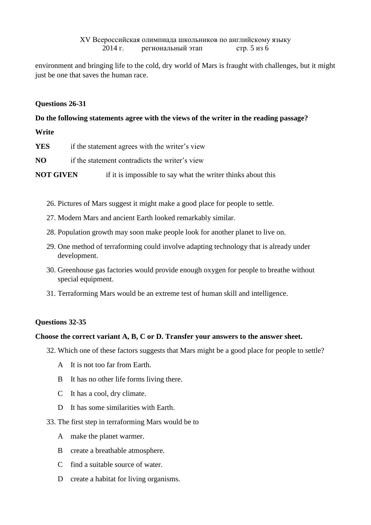XV Всероссийская олимпиада школьников по английскому языку 2014 г. региональный этап стр. 5 из 6

environment and bringing life to the cold, dry world of Mars is fraught with challenges, but it might just be one that saves the human race.

# **Questions 26-31**

# **Do the following statements agree with the views of the writer in the reading passage?**

# **Write**

| <b>YES</b> | if the statement agrees with the writer's view |
|------------|------------------------------------------------|
|------------|------------------------------------------------|

**NO** if the statement contradicts the writer's view

**NOT GIVEN** if it is impossible to say what the writer thinks about this

- 26. Pictures of Mars suggest it might make a good place for people to settle.
- 27. Modern Mars and ancient Earth looked remarkably similar.
- 28. Population growth may soon make people look for another planet to live on.
- 29. One method of terraforming could involve adapting technology that is already under development.
- 30. Greenhouse gas factories would provide enough oxygen for people to breathe without special equipment.
- 31. Terraforming Mars would be an extreme test of human skill and intelligence.

# **Questions 32-35**

# **Choose the correct variant A, B, C or D. Transfer your answers to the answer sheet.**

- 32. Which one of these factors suggests that Mars might be a good place for people to settle?
	- A It is not too far from Earth.
	- B It has no other life forms living there.
	- C It has a cool, dry climate.
	- D It has some similarities with Earth.
- 33. The first step in terraforming Mars would be to
	- A make the planet warmer.
	- B create a breathable atmosphere.
	- C find a suitable source of water.
	- D create a habitat for living organisms.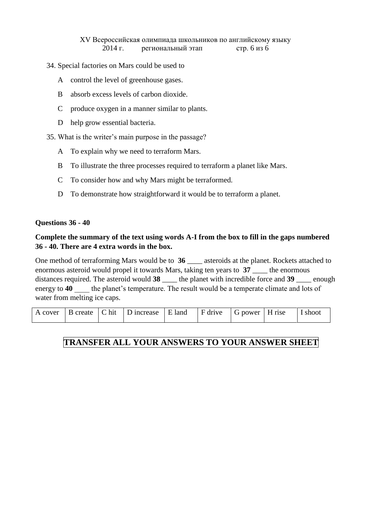# XV Всероссийская олимпиада школьников по английскому языку 2014 г. региональный этап стр. 6 из 6

- 34. Special factories on Mars could be used to
	- A control the level of greenhouse gases.
	- B absorb excess levels of carbon dioxide.
	- C produce oxygen in a manner similar to plants.
	- D help grow essential bacteria.

35. What is the writer's main purpose in the passage?

- A To explain why we need to terraform Mars.
- B To illustrate the three processes required to terraform a planet like Mars.
- C To consider how and why Mars might be terraformed.
- D To demonstrate how straightforward it would be to terraform a planet.

# **Questions 36 - 40**

# **Complete the summary of the text using words A-I from the box to fill in the gaps numbered 36 - 40. There are 4 extra words in the box.**

One method of terraforming Mars would be to **36** \_\_\_\_ asteroids at the planet. Rockets attached to enormous asteroid would propel it towards Mars, taking ten years to **37** \_\_\_\_ the enormous distances required. The asteroid would 38 be planet with incredible force and 39 centure enough energy to 40 the planet's temperature. The result would be a temperate climate and lots of water from melting ice caps.

|  |  |  | A cover   B create   C hit   D increase   E land   F drive   G power   H rise |  |  |  |  | -shoot |
|--|--|--|-------------------------------------------------------------------------------|--|--|--|--|--------|
|--|--|--|-------------------------------------------------------------------------------|--|--|--|--|--------|

# **TRANSFER ALL YOUR ANSWERS TO YOUR ANSWER SHEET**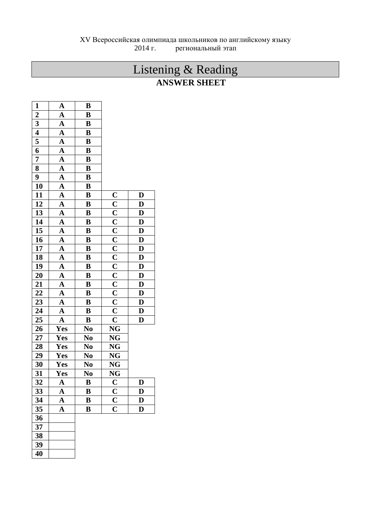#### XV Всероссийская олимпиада школьников по английскому языку  $2014$  r. региональный этап

# Listening & Reading

| $\mathbf{1}$            | $\mathbf A$             | B              |                       |              |
|-------------------------|-------------------------|----------------|-----------------------|--------------|
| $\overline{\mathbf{c}}$ | $\mathbf A$             | B              |                       |              |
| $\overline{\mathbf{3}}$ | $\mathbf A$             | $\bf{B}$       |                       |              |
| $\overline{\mathbf{4}}$ | $\overline{\mathbf{A}}$ | B              |                       |              |
| $\overline{\mathbf{5}}$ | $\mathbf{A}$            | $\bf{B}$       |                       |              |
| 6                       | $\mathbf{A}$            | $\bf{B}$       |                       |              |
| $\overline{7}$          | $\mathbf{A}$            | $\bf{B}$       |                       |              |
| 8                       | $\mathbf{A}$            | $\bf{B}$       |                       |              |
| 9                       | $\overline{\mathbf{A}}$ | B              |                       |              |
| 10                      | $\mathbf A$             | B              |                       |              |
| <u>11</u>               | $\mathbf{A}$            | $\bf{B}$       | $\mathbf C$           | $\mathbf D$  |
| 12                      | $\mathbf{A}$            | B              |                       | D            |
| 13                      | $\mathbf A$             | B              |                       | $\mathbf D$  |
| 14                      | $\mathbf A$             | B              |                       | $\mathbf D$  |
| 15                      | $\mathbf A$             | B              |                       | $\mathbf D$  |
| 16                      | $\mathbf A$             | $\bf{B}$       |                       | $\mathbf{D}$ |
| 17                      | $\overline{\mathbf{A}}$ | B              |                       | $\mathbf D$  |
| 18                      | $\overline{\mathbf{A}}$ | $\bf{B}$       |                       | $\mathbf D$  |
| 19                      | $\mathbf A$             | $\bf{B}$       |                       | $\mathbf D$  |
| 20                      | $\overline{\mathbf{A}}$ | B              |                       | $\mathbf D$  |
| 21                      | $\mathbf A$             | $\bf{B}$       |                       | $\mathbf D$  |
| 22                      | $\overline{\mathbf{A}}$ | B              |                       | $\mathbf D$  |
| 23                      | $\mathbf{A}$            | B              |                       | $\mathbf D$  |
| $\overline{24}$         | $\mathbf{A}$            | $\bf{B}$       |                       | $\mathbf{D}$ |
| 25                      | $\mathbf{A}$            | B              | $\overline{\text{C}}$ | D            |
| 26                      | Yes                     | N <sub>0</sub> | <b>NG</b>             |              |
| <b>27</b>               | Yes                     | No             | <b>NG</b>             |              |
| 28                      | Yes                     | N <sub>0</sub> | NG                    |              |
| 29                      | Yes                     | N <sub>0</sub> | <b>NG</b>             |              |
| 30                      | Yes                     | N <sub>0</sub> | NG                    |              |
| 31                      | Yes                     | N <sub>0</sub> | NG                    |              |
| 32                      | $\bf A$                 | B              |                       | D            |
| 33                      | $\mathbf A$             | B              |                       | D            |
| 34                      | $\mathbf A$             | B              |                       | D            |
| 35                      | $\overline{\mathbf{A}}$ | B              | $rac{C}{C}$           | D            |
| 36                      |                         |                |                       |              |
| 37                      |                         |                |                       |              |
| 38                      |                         |                |                       |              |
| 39                      |                         |                |                       |              |
| 40                      |                         |                |                       |              |
|                         |                         |                |                       |              |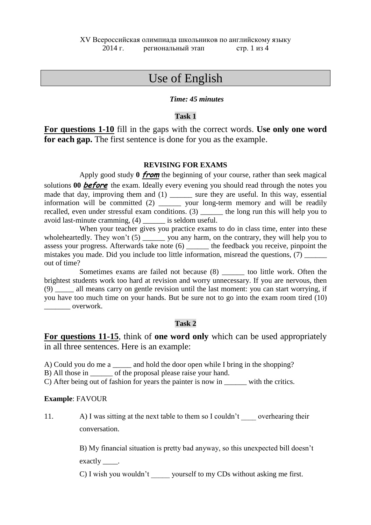# Use of English

# *Time: 45 minutes*

# **Task 1**

**For questions 1-10** fill in the gaps with the correct words. **Use only one word for each gap.** The first sentence is done for you as the example.

# **REVISING FOR EXAMS**

Apply good study **0 from** the beginning of your course, rather than seek magical solutions **00 before** the exam. Ideally every evening you should read through the notes you made that day, improving them and  $(1)$  \_\_\_\_\_\_ sure they are useful. In this way, essential information will be committed (2) \_\_\_\_\_\_ your long-term memory and will be readily recalled, even under stressful exam conditions. (3) \_\_\_\_\_\_ the long run this will help you to avoid last-minute cramming, (4) \_\_\_\_\_\_ is seldom useful.

When your teacher gives you practice exams to do in class time, enter into these wholeheartedly. They won't (5) \_\_\_\_\_\_ you any harm, on the contrary, they will help you to assess your progress. Afterwards take note (6) \_\_\_\_\_\_ the feedback you receive, pinpoint the mistakes you made. Did you include too little information, misread the questions, (7) \_\_\_\_\_\_ out of time?

Sometimes exams are failed not because (8) \_\_\_\_\_\_ too little work. Often the brightest students work too hard at revision and worry unnecessary. If you are nervous, then (9) \_\_\_\_\_ all means carry on gentle revision until the last moment: you can start worrying, if you have too much time on your hands. But be sure not to go into the exam room tired (10) \_\_\_\_\_\_\_ overwork.

# **Task 2**

**For questions 11-15**, think of **one word only** which can be used appropriately in all three sentences. Here is an example:

A) Could you do me a \_\_\_\_\_\_ and hold the door open while I bring in the shopping?

B) All those in \_\_\_\_\_\_\_ of the proposal please raise your hand.

C) After being out of fashion for years the painter is now in \_\_\_\_\_\_ with the critics.

# **Example**: FAVOUR

11. A) I was sitting at the next table to them so I couldn't overhearing their conversation.

> B) My financial situation is pretty bad anyway, so this unexpected bill doesn't exactly .

C) I wish you wouldn't vourself to my CDs without asking me first.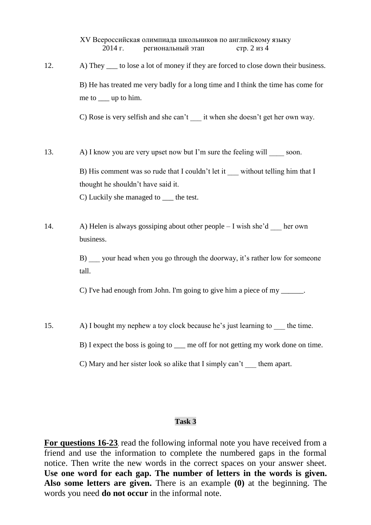XV Всероссийская олимпиада школьников по английскому языку 2014 г. региональный этап стр. 2 из 4

12. A) They to lose a lot of money if they are forced to close down their business. B) He has treated me very badly for a long time and I think the time has come for me to  $\qquad$  up to him.

C) Rose is very selfish and she can't it when she doesn't get her own way.

13. A) I know you are very upset now but I'm sure the feeling will soon.

B) His comment was so rude that I couldn't let it without telling him that I thought he shouldn't have said it.

C) Luckily she managed to the test.

14. A) Helen is always gossiping about other people – I wish she'd her own business.

> B) your head when you go through the doorway, it's rather low for someone tall.

C) I've had enough from John. I'm going to give him a piece of my

15. A) I bought my nephew a toy clock because he's just learning to the time.

B) I expect the boss is going to \_\_\_ me off for not getting my work done on time.

C) Mary and her sister look so alike that I simply can't them apart.

# **Task 3**

**For questions 16-23***,* read the following informal note you have received from a friend and use the information to complete the numbered gaps in the formal notice. Then write the new words in the correct spaces on your answer sheet. **Use one word for each gap. The number of letters in the words is given. Also some letters are given.** There is an example **(0)** at the beginning. The words you need **do not occur** in the informal note.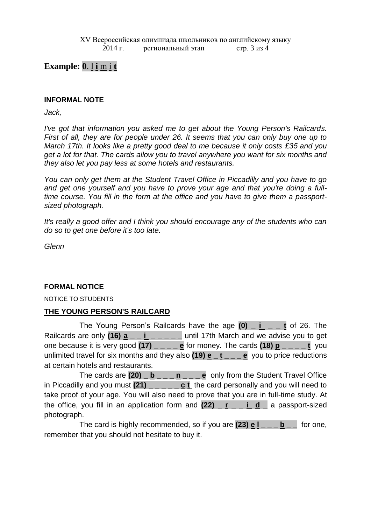# **Example: 0**. l **i** m i **t**

# **INFORMAL NOTE**

*Jack,*

*I've got that information you asked me to get about the Young Person's Railcards. First of all, they are for people under 26. It seems that you can only buy one up to March 17th. It looks like a pretty good deal to me because it only costs £35 and you get a lot for that. The cards allow you to travel anywhere you want for six months and they also let you pay less at some hotels and restaurants.*

*You can only get them at the Student Travel Office in Piccadilly and you have to go and get one yourself and you have to prove your age and that you're doing a fulltime course. You fill in the form at the office and you have to give them a passportsized photograph.*

*It's really a good offer and I think you should encourage any of the students who can do so to get one before it's too late.*

*Glenn*

# **FORMAL NOTICE**

NOTICE TO STUDENTS

# **THE YOUNG PERSON'S RAILCARD**

The Young Person's Railcards have the age **(0) \_ i \_ \_ t** of 26. The Railcards are only  $(16)$   $\underline{a}$   $\underline{b}$   $\underline{b}$   $\underline{c}$   $\underline{d}$  until 17th March and we advise you to get one because it is very good **(17) \_ \_ \_ \_ e** for money. The cards **(18) p \_ \_ \_ \_ t** you unlimited travel for six months and they also **(19) e \_ t \_ \_ \_ e** you to price reductions at certain hotels and restaurants.

The cards are  $(20)$   $\underline{b}$   $\underline{b}$   $\underline{p}$   $\underline{p}$   $\underline{p}$  only from the Student Travel Office in Piccadilly and you must **(21) \_ \_ \_ \_ \_ c t** the card personally and you will need to take proof of your age. You will also need to prove that you are in full-time study. At the office, you fill in an application form and **(22) \_ r \_ \_ i d \_** a passport-sized photograph.

The card is highly recommended, so if you are **(23) e l \_ \_ \_ b \_ \_** for one, remember that you should not hesitate to buy it.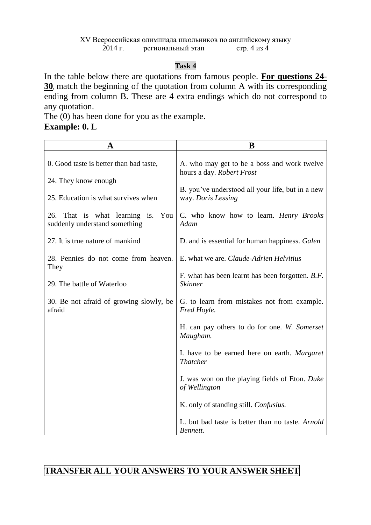# XV Всероссийская олимпиада школьников по английскому языку 2014 г. региональный этап стр. 4 из 4

# **Task 4**

In the table below there are quotations from famous people. **For questions 24- 30***,* match the beginning of the quotation from column A with its corresponding ending from column B. These are 4 extra endings which do not correspond to any quotation.

The (0) has been done for you as the example.

# **Example: 0. L**

| A                                                                  | B                                                                        |  |  |  |
|--------------------------------------------------------------------|--------------------------------------------------------------------------|--|--|--|
| 0. Good taste is better than bad taste,                            | A. who may get to be a boss and work twelve<br>hours a day. Robert Frost |  |  |  |
| 24. They know enough                                               |                                                                          |  |  |  |
| 25. Education is what survives when                                | B. you've understood all your life, but in a new<br>way. Doris Lessing   |  |  |  |
| 26. That is what learning is. You<br>suddenly understand something | C. who know how to learn. Henry Brooks<br>Adam                           |  |  |  |
| 27. It is true nature of mankind                                   | D. and is essential for human happiness. Galen                           |  |  |  |
| 28. Pennies do not come from heaven.<br>They                       | E. what we are. Claude-Adrien Helvitius                                  |  |  |  |
| 29. The battle of Waterloo                                         | F. what has been learnt has been forgotten. B.F.<br><b>Skinner</b>       |  |  |  |
| 30. Be not afraid of growing slowly, be<br>afraid                  | G. to learn from mistakes not from example.<br>Fred Hoyle.               |  |  |  |
|                                                                    | H. can pay others to do for one. W. Somerset<br>Maugham.                 |  |  |  |
|                                                                    | I. have to be earned here on earth. Margaret<br><b>Thatcher</b>          |  |  |  |
|                                                                    | J. was won on the playing fields of Eton. Duke<br>of Wellington          |  |  |  |
|                                                                    | K. only of standing still. Confusius.                                    |  |  |  |
|                                                                    | L. but bad taste is better than no taste. Arnold<br>Bennett.             |  |  |  |

# **TRANSFER ALL YOUR ANSWERS TO YOUR ANSWER SHEET**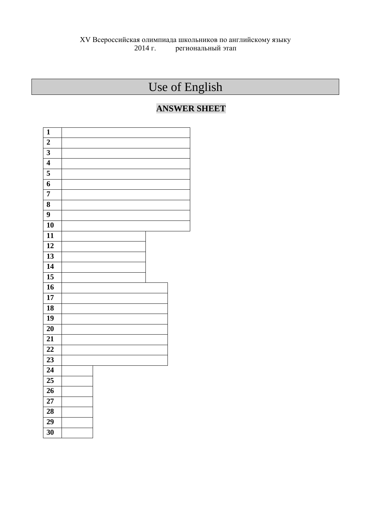# Use of English

# **ANSWER SHEET**

| $\mathbf{1}$            |  |  |
|-------------------------|--|--|
| $\overline{2}$          |  |  |
| $\overline{\mathbf{3}}$ |  |  |
| $\overline{\mathbf{4}}$ |  |  |
| $\overline{\mathbf{5}}$ |  |  |
| $\overline{6}$          |  |  |
| $\overline{7}$          |  |  |
| $\overline{\mathbf{8}}$ |  |  |
| $\boldsymbol{9}$        |  |  |
| $\overline{10}$         |  |  |
| 11                      |  |  |
| $\overline{12}$         |  |  |
| $\overline{13}$         |  |  |
| $\overline{14}$         |  |  |
| $\overline{15}$         |  |  |
| $\overline{16}$         |  |  |
| 17                      |  |  |
| 18                      |  |  |
| $\overline{19}$         |  |  |
| $\overline{20}$         |  |  |
| 21                      |  |  |
| $\overline{22}$         |  |  |
| 23                      |  |  |
| $\overline{24}$         |  |  |
| 25                      |  |  |
| $\overline{26}$         |  |  |
| 27                      |  |  |
| 28                      |  |  |
| 29                      |  |  |
| $\overline{30}$         |  |  |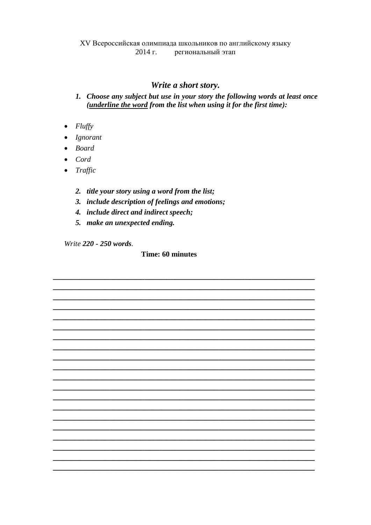XV Всероссийская олимпиада школьников по английскому языку  $2014$  r. региональный этап

# Write a short story.

1. Choose any subject but use in your story the following words at least once (*underline the word from the list when using it for the first time*):

- $Fluffy$  $\bullet$
- $\bullet$  Ignorant
- **Board**  $\bullet$
- Cord
- Traffic  $\bullet$ 
	- 2. title your story using a word from the list;
	- 3. include description of feelings and emotions;
	- 4. include direct and indirect speech;
	- 5. make an unexpected ending.

Write 220 - 250 words.

### Time: 60 minutes